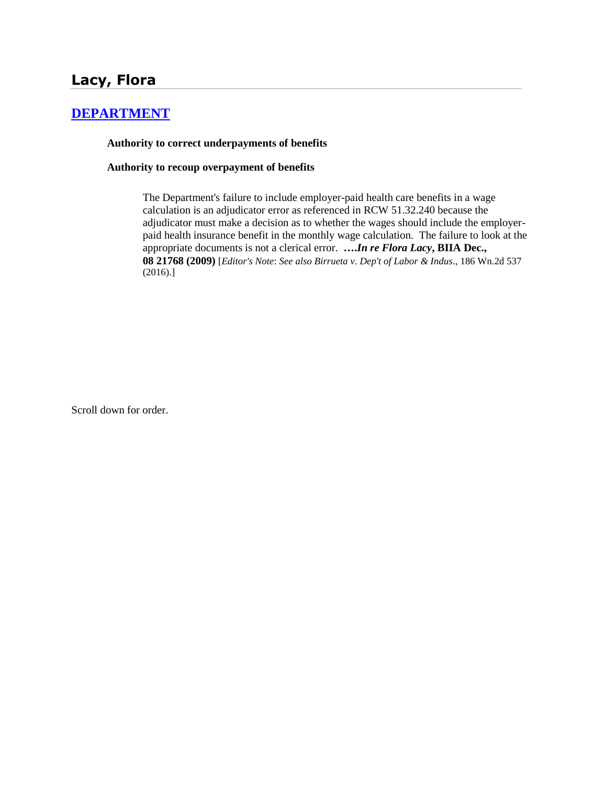# **[DEPARTMENT](http://www.biia.wa.gov/SDSubjectIndex.html#DEPARTMENT)**

## **Authority to correct underpayments of benefits**

## **Authority to recoup overpayment of benefits**

The Department's failure to include employer-paid health care benefits in a wage calculation is an adjudicator error as referenced in RCW 51.32.240 because the adjudicator must make a decision as to whether the wages should include the employerpaid health insurance benefit in the monthly wage calculation. The failure to look at the appropriate documents is not a clerical error. **….***In re Flora Lacy***, BIIA Dec., 08 21768 (2009)** [*Editor's Note*: *See also Birrueta v. Dep't of Labor & Indus*., 186 Wn.2d 537 (2016).]

Scroll down for order.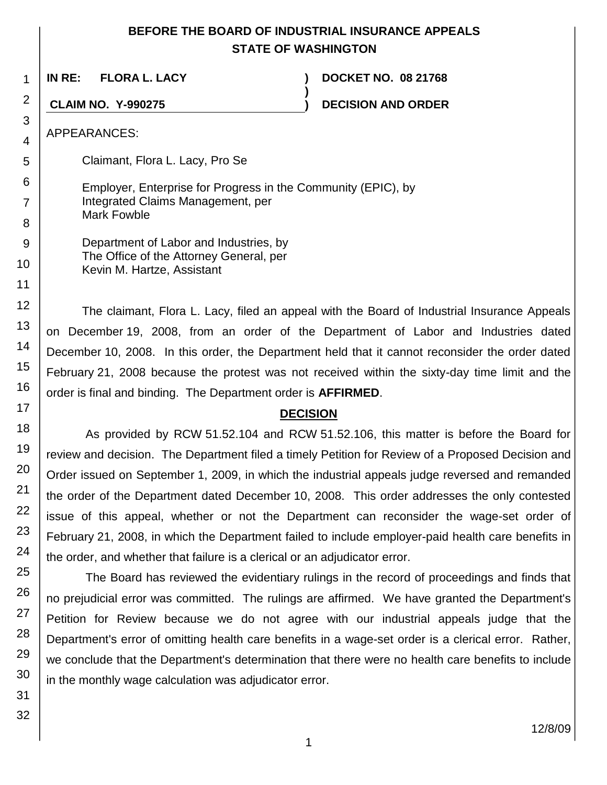# **BEFORE THE BOARD OF INDUSTRIAL INSURANCE APPEALS STATE OF WASHINGTON**

**)**

**IN RE: FLORA L. LACY ) DOCKET NO. 08 21768**

**CLAIM NO. Y-990275 ) DECISION AND ORDER**

APPEARANCES:

1

2

3 4

5

6

7

8 9

10

11

12

13

14

15 16

17

Claimant, Flora L. Lacy, Pro Se

Employer, Enterprise for Progress in the Community (EPIC), by Integrated Claims Management, per Mark Fowble

Department of Labor and Industries, by The Office of the Attorney General, per Kevin M. Hartze, Assistant

The claimant, Flora L. Lacy, filed an appeal with the Board of Industrial Insurance Appeals on December 19, 2008, from an order of the Department of Labor and Industries dated December 10, 2008. In this order, the Department held that it cannot reconsider the order dated February 21, 2008 because the protest was not received within the sixty-day time limit and the order is final and binding. The Department order is **AFFIRMED**.

# **DECISION**

As provided by RCW 51.52.104 and RCW 51.52.106, this matter is before the Board for review and decision. The Department filed a timely Petition for Review of a Proposed Decision and Order issued on September 1, 2009, in which the industrial appeals judge reversed and remanded the order of the Department dated December 10, 2008. This order addresses the only contested issue of this appeal, whether or not the Department can reconsider the wage-set order of February 21, 2008, in which the Department failed to include employer-paid health care benefits in the order, and whether that failure is a clerical or an adjudicator error.

The Board has reviewed the evidentiary rulings in the record of proceedings and finds that no prejudicial error was committed. The rulings are affirmed. We have granted the Department's Petition for Review because we do not agree with our industrial appeals judge that the Department's error of omitting health care benefits in a wage-set order is a clerical error. Rather, we conclude that the Department's determination that there were no health care benefits to include in the monthly wage calculation was adjudicator error.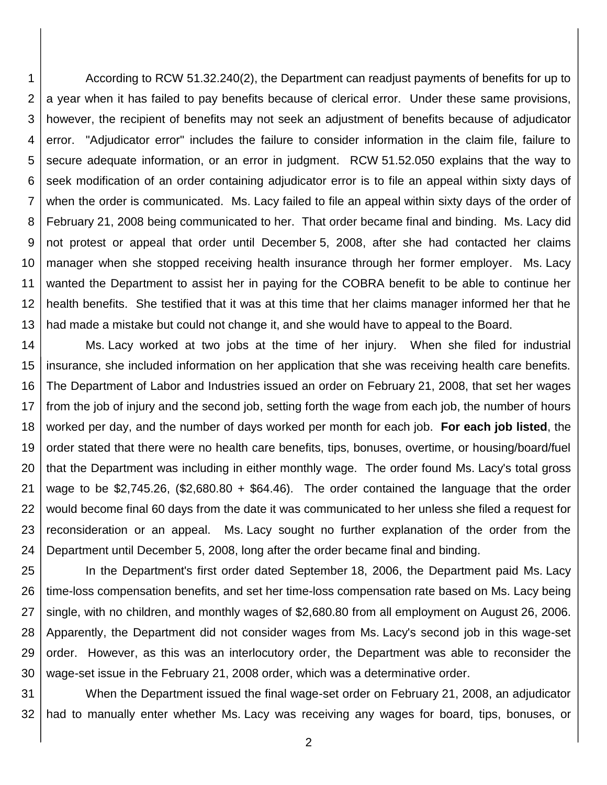1 2 3 4 5 6 7 8 9 10 11 12 13 According to RCW 51.32.240(2), the Department can readjust payments of benefits for up to a year when it has failed to pay benefits because of clerical error. Under these same provisions, however, the recipient of benefits may not seek an adjustment of benefits because of adjudicator error. "Adjudicator error" includes the failure to consider information in the claim file, failure to secure adequate information, or an error in judgment. RCW 51.52.050 explains that the way to seek modification of an order containing adjudicator error is to file an appeal within sixty days of when the order is communicated. Ms. Lacy failed to file an appeal within sixty days of the order of February 21, 2008 being communicated to her. That order became final and binding. Ms. Lacy did not protest or appeal that order until December 5, 2008, after she had contacted her claims manager when she stopped receiving health insurance through her former employer. Ms. Lacy wanted the Department to assist her in paying for the COBRA benefit to be able to continue her health benefits. She testified that it was at this time that her claims manager informed her that he had made a mistake but could not change it, and she would have to appeal to the Board.

14 15 16 17 18 19 20 21 22 23 24 Ms. Lacy worked at two jobs at the time of her injury. When she filed for industrial insurance, she included information on her application that she was receiving health care benefits. The Department of Labor and Industries issued an order on February 21, 2008, that set her wages from the job of injury and the second job, setting forth the wage from each job, the number of hours worked per day, and the number of days worked per month for each job. **For each job listed**, the order stated that there were no health care benefits, tips, bonuses, overtime, or housing/board/fuel that the Department was including in either monthly wage. The order found Ms. Lacy's total gross wage to be \$2,745.26,  $(\$2,680.80 + \$64.46)$ . The order contained the language that the order would become final 60 days from the date it was communicated to her unless she filed a request for reconsideration or an appeal. Ms. Lacy sought no further explanation of the order from the Department until December 5, 2008, long after the order became final and binding.

25 26 27 28 29 30 In the Department's first order dated September 18, 2006, the Department paid Ms. Lacy time-loss compensation benefits, and set her time-loss compensation rate based on Ms. Lacy being single, with no children, and monthly wages of \$2,680.80 from all employment on August 26, 2006. Apparently, the Department did not consider wages from Ms. Lacy's second job in this wage-set order. However, as this was an interlocutory order, the Department was able to reconsider the wage-set issue in the February 21, 2008 order, which was a determinative order.

31 32 When the Department issued the final wage-set order on February 21, 2008, an adjudicator had to manually enter whether Ms. Lacy was receiving any wages for board, tips, bonuses, or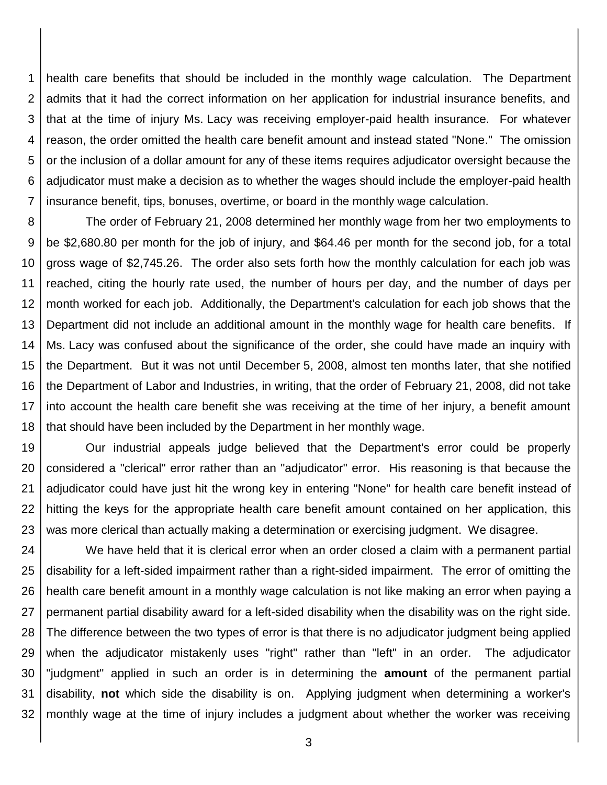1 2 3 4 5 6 7 health care benefits that should be included in the monthly wage calculation. The Department admits that it had the correct information on her application for industrial insurance benefits, and that at the time of injury Ms. Lacy was receiving employer-paid health insurance. For whatever reason, the order omitted the health care benefit amount and instead stated "None." The omission or the inclusion of a dollar amount for any of these items requires adjudicator oversight because the adjudicator must make a decision as to whether the wages should include the employer-paid health insurance benefit, tips, bonuses, overtime, or board in the monthly wage calculation.

8 9 10 11 12 13 14 15 16 17 18 The order of February 21, 2008 determined her monthly wage from her two employments to be \$2,680.80 per month for the job of injury, and \$64.46 per month for the second job, for a total gross wage of \$2,745.26. The order also sets forth how the monthly calculation for each job was reached, citing the hourly rate used, the number of hours per day, and the number of days per month worked for each job. Additionally, the Department's calculation for each job shows that the Department did not include an additional amount in the monthly wage for health care benefits. If Ms. Lacy was confused about the significance of the order, she could have made an inquiry with the Department. But it was not until December 5, 2008, almost ten months later, that she notified the Department of Labor and Industries, in writing, that the order of February 21, 2008, did not take into account the health care benefit she was receiving at the time of her injury, a benefit amount that should have been included by the Department in her monthly wage.

19 20 21 22 23 Our industrial appeals judge believed that the Department's error could be properly considered a "clerical" error rather than an "adjudicator" error. His reasoning is that because the adjudicator could have just hit the wrong key in entering "None" for health care benefit instead of hitting the keys for the appropriate health care benefit amount contained on her application, this was more clerical than actually making a determination or exercising judgment. We disagree.

24 25 26 27 28 29 30 31 32 We have held that it is clerical error when an order closed a claim with a permanent partial disability for a left-sided impairment rather than a right-sided impairment. The error of omitting the health care benefit amount in a monthly wage calculation is not like making an error when paying a permanent partial disability award for a left-sided disability when the disability was on the right side. The difference between the two types of error is that there is no adjudicator judgment being applied when the adjudicator mistakenly uses "right" rather than "left" in an order. The adjudicator "judgment" applied in such an order is in determining the **amount** of the permanent partial disability, **not** which side the disability is on. Applying judgment when determining a worker's monthly wage at the time of injury includes a judgment about whether the worker was receiving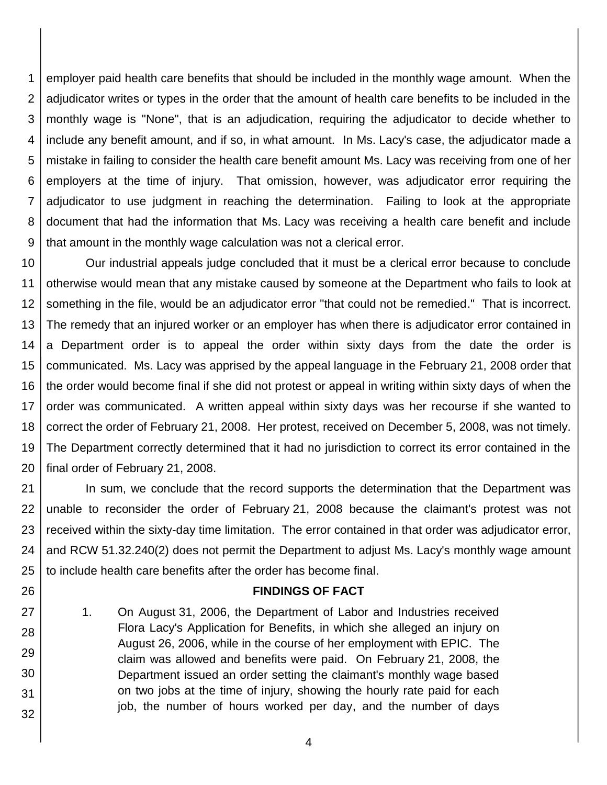1 2 3 4 5 6 7 8 9 employer paid health care benefits that should be included in the monthly wage amount. When the adjudicator writes or types in the order that the amount of health care benefits to be included in the monthly wage is "None", that is an adjudication, requiring the adjudicator to decide whether to include any benefit amount, and if so, in what amount. In Ms. Lacy's case, the adjudicator made a mistake in failing to consider the health care benefit amount Ms. Lacy was receiving from one of her employers at the time of injury. That omission, however, was adjudicator error requiring the adjudicator to use judgment in reaching the determination. Failing to look at the appropriate document that had the information that Ms. Lacy was receiving a health care benefit and include that amount in the monthly wage calculation was not a clerical error.

10 11 12 13 14 15 16 17 18 19 20 Our industrial appeals judge concluded that it must be a clerical error because to conclude otherwise would mean that any mistake caused by someone at the Department who fails to look at something in the file, would be an adjudicator error "that could not be remedied." That is incorrect. The remedy that an injured worker or an employer has when there is adjudicator error contained in a Department order is to appeal the order within sixty days from the date the order is communicated. Ms. Lacy was apprised by the appeal language in the February 21, 2008 order that the order would become final if she did not protest or appeal in writing within sixty days of when the order was communicated. A written appeal within sixty days was her recourse if she wanted to correct the order of February 21, 2008. Her protest, received on December 5, 2008, was not timely. The Department correctly determined that it had no jurisdiction to correct its error contained in the final order of February 21, 2008.

21 22 23 24 25 In sum, we conclude that the record supports the determination that the Department was unable to reconsider the order of February 21, 2008 because the claimant's protest was not received within the sixty-day time limitation. The error contained in that order was adjudicator error, and RCW 51.32.240(2) does not permit the Department to adjust Ms. Lacy's monthly wage amount to include health care benefits after the order has become final.

## **FINDINGS OF FACT**

1. On August 31, 2006, the Department of Labor and Industries received Flora Lacy's Application for Benefits, in which she alleged an injury on August 26, 2006, while in the course of her employment with EPIC. The claim was allowed and benefits were paid. On February 21, 2008, the Department issued an order setting the claimant's monthly wage based on two jobs at the time of injury, showing the hourly rate paid for each job, the number of hours worked per day, and the number of days

26

27

28

29

30

31

32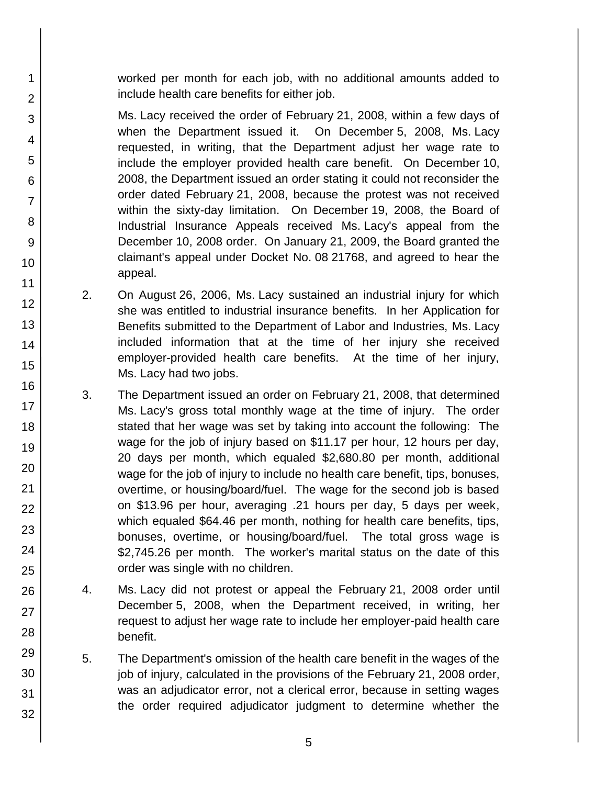worked per month for each job, with no additional amounts added to include health care benefits for either job.

Ms. Lacy received the order of February 21, 2008, within a few days of when the Department issued it. On December 5, 2008, Ms. Lacy requested, in writing, that the Department adjust her wage rate to include the employer provided health care benefit. On December 10, 2008, the Department issued an order stating it could not reconsider the order dated February 21, 2008, because the protest was not received within the sixty-day limitation. On December 19, 2008, the Board of Industrial Insurance Appeals received Ms. Lacy's appeal from the December 10, 2008 order. On January 21, 2009, the Board granted the claimant's appeal under Docket No. 08 21768, and agreed to hear the appeal.

- 2. On August 26, 2006, Ms. Lacy sustained an industrial injury for which she was entitled to industrial insurance benefits. In her Application for Benefits submitted to the Department of Labor and Industries, Ms. Lacy included information that at the time of her injury she received employer-provided health care benefits. At the time of her injury, Ms. Lacy had two jobs.
- 3. The Department issued an order on February 21, 2008, that determined Ms. Lacy's gross total monthly wage at the time of injury. The order stated that her wage was set by taking into account the following: The wage for the job of injury based on \$11.17 per hour, 12 hours per day, 20 days per month, which equaled \$2,680.80 per month, additional wage for the job of injury to include no health care benefit, tips, bonuses, overtime, or housing/board/fuel. The wage for the second job is based on \$13.96 per hour, averaging .21 hours per day, 5 days per week, which equaled \$64.46 per month, nothing for health care benefits, tips, bonuses, overtime, or housing/board/fuel. The total gross wage is \$2,745.26 per month. The worker's marital status on the date of this order was single with no children.
- 4. Ms. Lacy did not protest or appeal the February 21, 2008 order until December 5, 2008, when the Department received, in writing, her request to adjust her wage rate to include her employer-paid health care benefit.
- 5. The Department's omission of the health care benefit in the wages of the job of injury, calculated in the provisions of the February 21, 2008 order, was an adjudicator error, not a clerical error, because in setting wages the order required adjudicator judgment to determine whether the

1